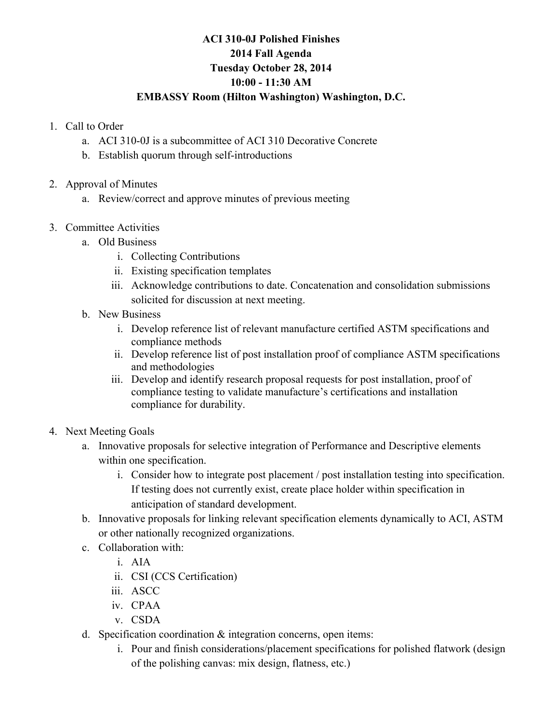## **ACI 310-0J Polished Finishes 2014 Fall Agenda Tuesday October 28, 2014 10:00 - 11:30 AM**

## **EMBASSY Room (Hilton Washington) Washington, D.C.**

- 1. Call to Order
	- a. ACI 310-0J is a subcommittee of ACI 310 Decorative Concrete
	- b. Establish quorum through self-introductions
- 2. Approval of Minutes
	- a. Review/correct and approve minutes of previous meeting
- 3. Committee Activities
	- a. Old Business
		- i. Collecting Contributions
		- ii. Existing specification templates
		- iii. Acknowledge contributions to date. Concatenation and consolidation submissions solicited for discussion at next meeting.
	- b. New Business
		- i. Develop reference list of relevant manufacture certified ASTM specifications and compliance methods
		- ii. Develop reference list of post installation proof of compliance ASTM specifications and methodologies
		- iii. Develop and identify research proposal requests for post installation, proof of compliance testing to validate manufacture's certifications and installation compliance for durability.
- 4. Next Meeting Goals
	- a. Innovative proposals for selective integration of Performance and Descriptive elements within one specification.
		- i. Consider how to integrate post placement / post installation testing into specification. If testing does not currently exist, create place holder within specification in anticipation of standard development.
	- b. Innovative proposals for linking relevant specification elements dynamically to ACI, ASTM or other nationally recognized organizations.
	- c. Collaboration with:
		- i. AIA
		- ii. CSI (CCS Certification)
		- iii. ASCC
		- iv. CPAA
		- v. CSDA
	- d. Specification coordination & integration concerns, open items:
		- i. Pour and finish considerations/placement specifications for polished flatwork (design of the polishing canvas: mix design, flatness, etc.)